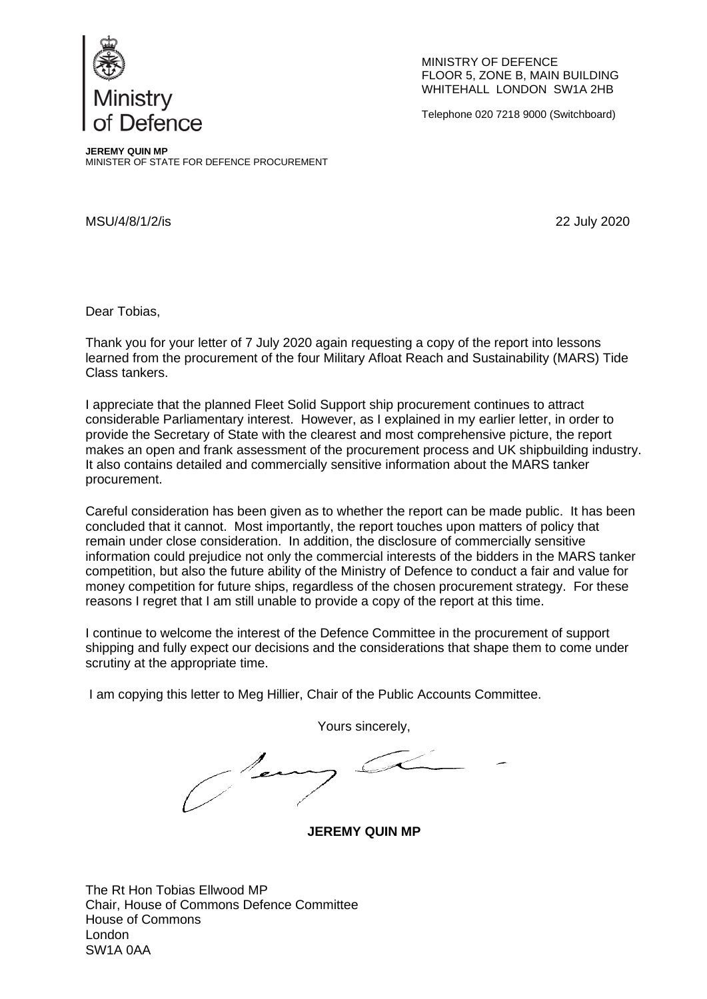

MINISTRY OF DEFENCE FLOOR 5, ZONE B, MAIN BUILDING WHITEHALL LONDON SW1A 2HB

Telephone 020 7218 9000 (Switchboard)

**JEREMY QUIN MP** MINISTER OF STATE FOR DEFENCE PROCUREMENT

MSU/4/8/1/2/is 22 July 2020

Dear Tobias,

Thank you for your letter of 7 July 2020 again requesting a copy of the report into lessons learned from the procurement of the four Military Afloat Reach and Sustainability (MARS) Tide Class tankers.

I appreciate that the planned Fleet Solid Support ship procurement continues to attract considerable Parliamentary interest. However, as I explained in my earlier letter, in order to provide the Secretary of State with the clearest and most comprehensive picture, the report makes an open and frank assessment of the procurement process and UK shipbuilding industry. It also contains detailed and commercially sensitive information about the MARS tanker procurement.

Careful consideration has been given as to whether the report can be made public. It has been concluded that it cannot. Most importantly, the report touches upon matters of policy that remain under close consideration. In addition, the disclosure of commercially sensitive information could prejudice not only the commercial interests of the bidders in the MARS tanker competition, but also the future ability of the Ministry of Defence to conduct a fair and value for money competition for future ships, regardless of the chosen procurement strategy. For these reasons I regret that I am still unable to provide a copy of the report at this time.

I continue to welcome the interest of the Defence Committee in the procurement of support shipping and fully expect our decisions and the considerations that shape them to come under scrutiny at the appropriate time.

I am copying this letter to Meg Hillier, Chair of the Public Accounts Committee.

Yours sincerely,

**JEREMY QUIN MP**

The Rt Hon Tobias Ellwood MP Chair, House of Commons Defence Committee House of Commons London SW1A 0AA